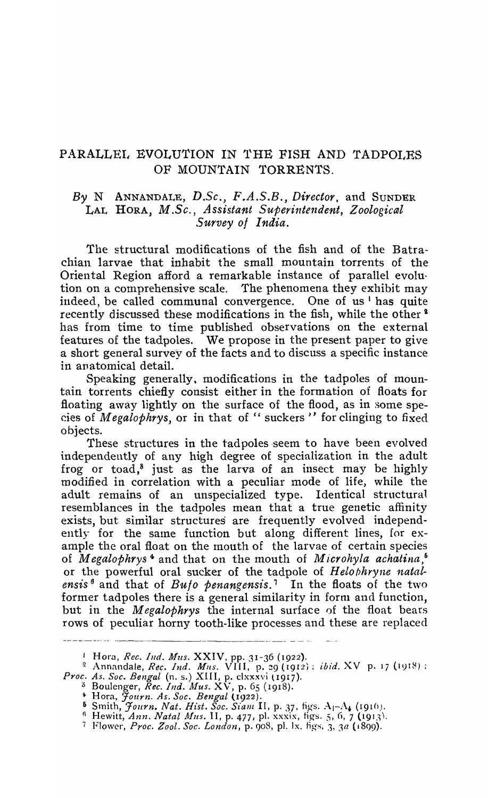## PARALLEI, EVOLUTION IN THE FISH AND TADPOLES OF MOUNTAIN TORRENTS.

## By N ANNANDALE, D.Sc., F.A.S.B., *Director*, and SUNDER LAL HORA, *M.Sc., Assistant Superintendent, Zoological Survey 0/ India.*

The structural modifications of the fish and of the Batrachian larvae that inhabit the small mountain torrents of the Oriental Region afford a remarkable instance of parallel evolution on a comprehensive scale. The phenomena they exhibit may indeed, be called communal convergence. One of us  $\mathbb{I}$  has quite recently discussed these modifications in the fish, while the other<sup>2</sup> has from time to time publisbed observations on the external features of the tadpoles. We propose in the present paper to give a short general survey of the facts and to discuss a specific instance in anatomical detail.

Speaking generally. modifications in the tadpoles of mountain torrents chiefly consist either in the formation of floats for floating away lightly on the surface of the flood, as in some species of *Megalophrys*, or in that of " suckers" for clinging to fixed objects.

These structures in the tadpoles seem to have been evolved independently of any high degree of specialization in the adult frog or toad,<sup>8</sup> just as the larva of an insect may be highly modified in correlation with a peculiar mode of life, while the adult remains of an unspecialized type. Identical structural resemblances in the tadpoles mean that a true genetic affinity exists, but similar structures are frequently evolved independently for the same function but along different lines, for example the oral float on the rnouth of the larvae of certain species of *M egalophrys* 4 and that 011 the mouth of *M icrohyla achatina,* <sup>6</sup> or the powerful oral sucker of the tadpole of Helophryne natal*ensis*<sup>6</sup> and that of *Buto penangensis*.<sup>7</sup> In the floats of the two former tadpoles there is a general similarity in form and function, but in the *M egalophrys* the internal surface of the float bears rows of peculiar horny tooth-like processes and these are replaced ---------- -- - ----------

;) Boulenger, *Rec. Ind. Mus.* X V, p. 65 (1918).

<sup>1</sup>Hora, *Rec. Ind. Mus.* XXIV, pp. 31-36 (1922).

<sup>&</sup>lt;sup>2</sup> Annandale, *Rec. Ind. Mus.* VIII, p. 29 (1912); *ibid.* XV p. 17 (1918): Proc. As. Soc. Bengal (n. s.) XIII, p. clxxxvi (1917).

<sup>~</sup>Hora, *Journ. As. Soc. Bengal* tI922).

 $^5$  Smith, *Journ. Nat. Hist. Soc. Siam II*, p. 37, figs.  $A_1$ -A<sub>4</sub> (1916).

fi Hewitt, *Ann. Natal Alus.* II, p. 477, pI. xxxix, tigs. *S,* 0, 7 (191.11.

<sup>7</sup> Flower, *Proc. Zool. Soc. London*, p. 908, pl. lx. figs. 3, 3*a* (1899).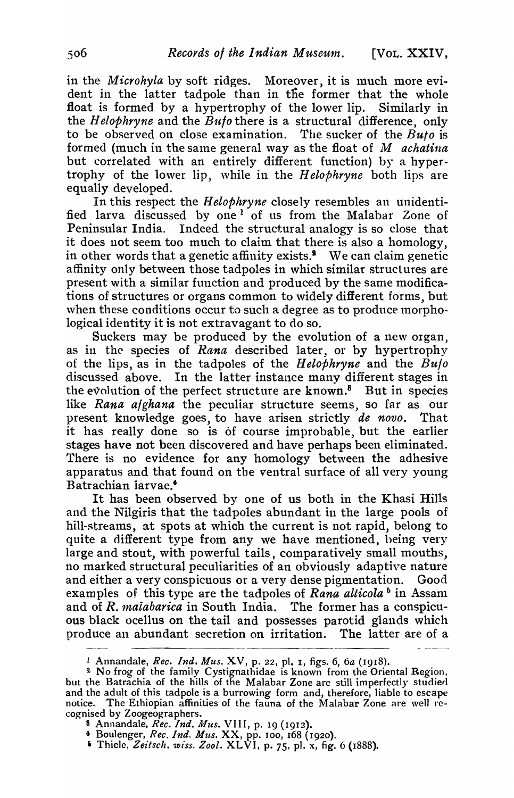in the *Microhyla* by soft ridges. Moreover, it is much more evident in the latter tadpole than in the former that the whole float is formed by a hypertrophy of the lower lip. Similarly in the *H elophryne* and the *Bulo* there is a structural difference, only to be observed on close examination. The sucker of the *Bu/o* is formed (much in the same general way as the float of M *achatina* but correlated with an entirely different function) by a hypertrophy of the lower lip, while in the *Helophryne* both lips are equally developed.

In this respect the *Helophryne* closely resembles an unidentified larva discussed by one <sup>1</sup> of us from the Malabar Zone of Peninsular India. Indeed the structural analogy is so close that it does not seem too much to claim that there is also a homology, in other words that a genetic affinity exists.<sup>9</sup> We can claim genetic affinity only between those tadpoles in which similar structures are present with a similar function and produced by the same modifications of structures or organs common to widely different forms, but when these conditions occur to such a degree as to produce morphological identity it is not extravagant to do so.

Suckers may be produced by the evolution of a new organ. as in the species of *Rana* described later, or by hypertrophy of the lips, as in the tadpoles of the *Helophryne* and the *Bufo*  discussed above. In the latter instance many different stages in the evolution of the perfect structure are known.<sup>8</sup> But in species like *Rana a/ghana* the peculiar structure seems, so far as our present knowledge goes, to have arisen strictly *de novo.* That it has really done so is of course improbable, but the earlier stages have not been discovered and have perhaps been eliminated. There is no evidence for any homology between the adhesive apparatus and that found on tbe ventral surface of all very young Batrachian iarvae.'

It has been observed by one of us both in the Khasi Hills and the Nilgiris that the tadpoles abundant in the large pools of hill-streams, at spots at which the current is not rapid, belong to quite a different type from any we have mentioned, being very large and stout, with powerful tails, comparatively small mouths, no marked structural peculiarities of an obviously adaptive nature and either a very conspicuous or a very dense pigmentation. Good examples of this type are the tadpoles of *Rana alticola*<sup>6</sup> in Assam and of *R. 1naiabarica* in South India. The former has a conspicuous black ocellus on the tail and possesses parotid glands which produce an abundant secretion on irritation. The latter are of a

- 8 Annandale, *Rec. Ind. Mus.* VIII, p. 19 (1912).
- 4 Boulenger, *Rec. Ind. Mus.* XX, pp. 100, *168* (1920).
- $\bullet$  Thiele, Zeitsch. wiss. Zool. XLVI, p. 75, pl. x, fig. 6 (1888).

<sup>1</sup> Annandale, *Rec. Ind. Mus.* X V, p. 22, pl. I, figs. 6, *6a* (1918).

<sup>&</sup>lt;sup>2</sup> No frog of the family Cystignathidae is known from the Oriental Region, but the Batrachia of the hills of the Malabar Zone are still imperfectly studied and the adult of this tadpole is a burrowing form and, therefore, liable to escape notice. The Ethiopian affinities of the fauna of the Malabar Zone are well recognised by Zoogeographers.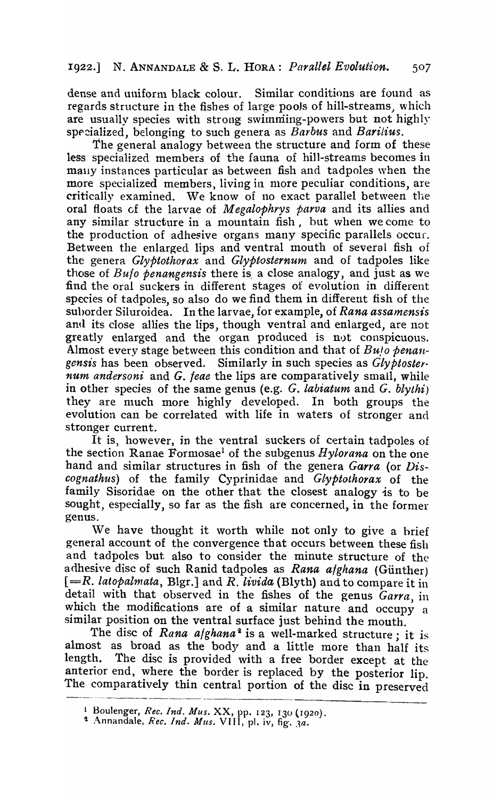## 1922.] N. ANNANDALE & S. L. HORA: *Parallel Evolution. 50 7*

dense and uniform black colour. Similar conditions are found as regards structure in the fishes of large pools of hill-streams, which are usually species with strong swimming-powers but not highly specialized, belonging to such genera as *Barbus* and *Barilius*.

The general analogy between the structure and form of these less specialized members of the fauna of hill-streams becomes in mally instances particular as between fish and tadpoles when the more specialized members, living in more peculiar conditions, are critically examined. We know of no exact parallel between the oral floats cf the larvae of *M egalophrys parva* and its allies and any similar structure in a mountain fish, but when we come to the production of adhesive organs many specific parallels occur. Between the enlarged lips and ventral mouth of several fish of the genera *Glyptothorax* and *Glyptosternum* and of tadpoles like those of *Bulo penangensis* there is. a close analogy, and just as we find the oral suckers in different stages of evolution in different species of tadpoles, so also do we find them in different fish of the suhorder Siluroidea. In the larvae, for example, of *Rana assamensis*  and its close allies the lips, though ventral and enlarged, are not greatly enlarged and the organ produced is not conspicuous. Almost every stage between this condition and that of *Buto benangensis* has been observed. Similarly in such species as *Glyptoster· num andersoni* and *G. jeae* the lips are comparatively small, while in other species of the same genus (e.g. *G. labiatum* and *G. blythi*) they are much more highly developed. In both groups the evolution can be correlated with life in waters of stronger and sttonger current.

It is, however, in the ventral suckers of certain tadpoles of the section Ranae Formosae<sup>l</sup> of the subgenus *Hylorana* on the one hand and similar structures in fish of the genera *Garra* (or *Discognathus)* of the family Cyprinidae and *Glyptothorax* of the family Sisoridae on the other that the closest analogy is to be sought, especially, so far as the fish are concerned, in the former genus.

We have thought it worth while not only to give a hrief general account of the convergence that occurs between these fish and tadpoles but also to consider the minute structure of the adhesive disc of such Ranid tadpoles as *Rana afghana* (Günther) *[=R. latopalmata,* Bigr.] and *R. livida* (Blyth) and to compare it in detail with that observed in the fishes of the genus *Garra* in which the modifications are of a similar nature and occupy a similar position on the ventral surface just behind the mouth.

The disc of *Rana afghana*<sup>2</sup> is a well-marked structure; it is almost as broad as the body and a little more than half its<br>length. The disc is provided with a free border except at the The disc is provided with a free border except at the anterior end, where the border is replaced by the posterior lip. The comparatively thin central portion of the disc in preserved

<sup>1</sup> Boulenger, *Rec. Ind. Mus.* XX, pp. 123, 130 (1920).

<sup>&</sup>lt;sup>2</sup> Annandale, *Rec. Ind. Mus.* VIII, pl. iv, fig. 3a.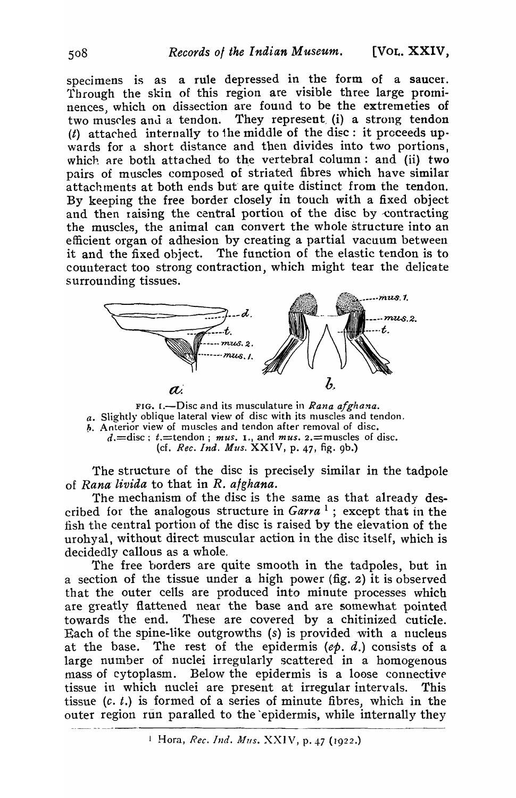specimens is as a rule depressed in the form of a saucer. Through the skin of this region are visible three large prominences, which on dissection are found to be the extremeties of two muscles and a tendon. They represent (i) a strong tendon (t) attached internally to the middle of the disc: it proceeds up wards for a short distance and then divides into two portions. which are both attached to the vertebral column: and (ii) two pairs of muscles composed of striated fibres which have similar attachments at both ends but are quite distinct from the tendon. By keeping the free border closely in touch with a fixed object and then raising the central portion of the disc by contracting the muscles, the animal can convert the whole structure into an efficient organ of adhesion by creating a partial vacuum between it and the fixed object. The function of the elastic tendon is to counteract too strong contraction, which might tear the delicate surrounding tissues.



FIG. I.-Disc and its musculature in *Rana afghana*.  $a$ . Slightly oblique lateral view of disc with its muscles and tendon. h. Anterior view of muscles and tendon after removal of disc.  $d = \text{disc}$ ;  $t = \text{tendon}$ ; *mus.* 1., and *mus.* 2. = muscles of disc. (cf. *Rec. Ind. Mus.* XXIV, p. 47, fig. 9b.)

The structure of the disc is precisely similar in the tadpole of *Ranao livida* to that in *R. a/ghana.* 

The mechanism of the disc is the same as that already described for the analogous structure in *Garra* 1 ; except that in the fish the central portion of the disc is raised by the elevation of the urohyal, without direct muscular action in the disc itself, which is decidedly callous as a whole.

The free borders are quite smooth in the tadpoles, but in a section of the tissue under a high power (fig. 2) it is observed that the outer cells are produced into minute processes which are greatly flattened near the base and are somewhat pointed towards the end. These are covered by a chitinized cuticle. Each of the spine-like outgrowths (s) is provided with a nucleus at the base. The rest of the epidermis *(ep.* d.) consists of a large number of nuclei irregularly scattered in a homogenous mass of cytoplasm. Below the epidermis is a loose connective tissue in which nuclei are present at irregular intervals. This tissue  $(c. t.)$  is formed of a series of minute fibres, which in the outer region run paralled to the epidermis, while internally they